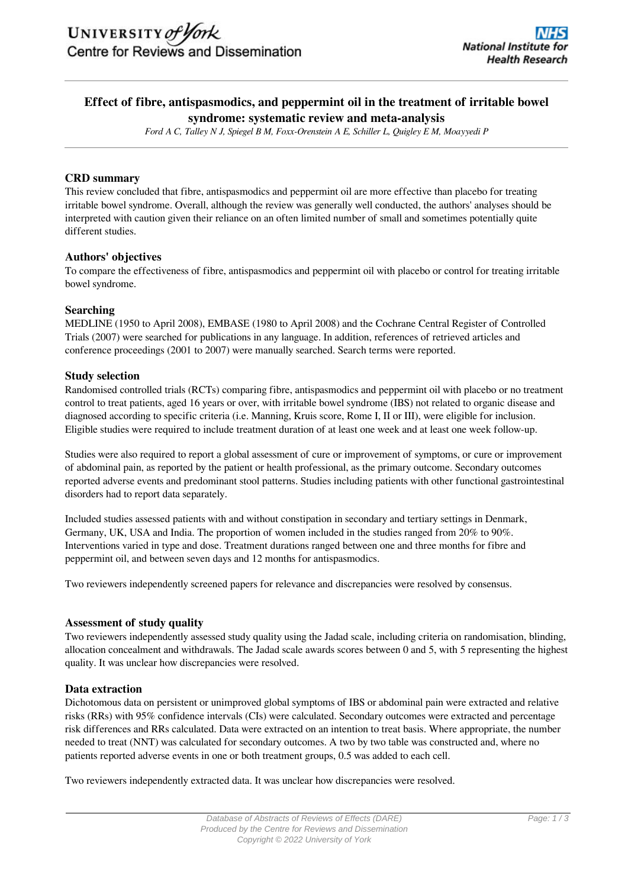## **Effect of fibre, antispasmodics, and peppermint oil in the treatment of irritable bowel syndrome: systematic review and meta-analysis**

*Ford A C, Talley N J, Spiegel B M, Foxx-Orenstein A E, Schiller L, Quigley E M, Moayyedi P*

## **CRD summary**

This review concluded that fibre, antispasmodics and peppermint oil are more effective than placebo for treating irritable bowel syndrome. Overall, although the review was generally well conducted, the authors' analyses should be interpreted with caution given their reliance on an often limited number of small and sometimes potentially quite different studies.

## **Authors' objectives**

To compare the effectiveness of fibre, antispasmodics and peppermint oil with placebo or control for treating irritable bowel syndrome.

## **Searching**

MEDLINE (1950 to April 2008), EMBASE (1980 to April 2008) and the Cochrane Central Register of Controlled Trials (2007) were searched for publications in any language. In addition, references of retrieved articles and conference proceedings (2001 to 2007) were manually searched. Search terms were reported.

## **Study selection**

Randomised controlled trials (RCTs) comparing fibre, antispasmodics and peppermint oil with placebo or no treatment control to treat patients, aged 16 years or over, with irritable bowel syndrome (IBS) not related to organic disease and diagnosed according to specific criteria (i.e. Manning, Kruis score, Rome I, II or III), were eligible for inclusion. Eligible studies were required to include treatment duration of at least one week and at least one week follow-up.

Studies were also required to report a global assessment of cure or improvement of symptoms, or cure or improvement of abdominal pain, as reported by the patient or health professional, as the primary outcome. Secondary outcomes reported adverse events and predominant stool patterns. Studies including patients with other functional gastrointestinal disorders had to report data separately.

Included studies assessed patients with and without constipation in secondary and tertiary settings in Denmark, Germany, UK, USA and India. The proportion of women included in the studies ranged from 20% to 90%. Interventions varied in type and dose. Treatment durations ranged between one and three months for fibre and peppermint oil, and between seven days and 12 months for antispasmodics.

Two reviewers independently screened papers for relevance and discrepancies were resolved by consensus.

## **Assessment of study quality**

Two reviewers independently assessed study quality using the Jadad scale, including criteria on randomisation, blinding, allocation concealment and withdrawals. The Jadad scale awards scores between 0 and 5, with 5 representing the highest quality. It was unclear how discrepancies were resolved.

#### **Data extraction**

Dichotomous data on persistent or unimproved global symptoms of IBS or abdominal pain were extracted and relative risks (RRs) with 95% confidence intervals (CIs) were calculated. Secondary outcomes were extracted and percentage risk differences and RRs calculated. Data were extracted on an intention to treat basis. Where appropriate, the number needed to treat (NNT) was calculated for secondary outcomes. A two by two table was constructed and, where no patients reported adverse events in one or both treatment groups, 0.5 was added to each cell.

Two reviewers independently extracted data. It was unclear how discrepancies were resolved.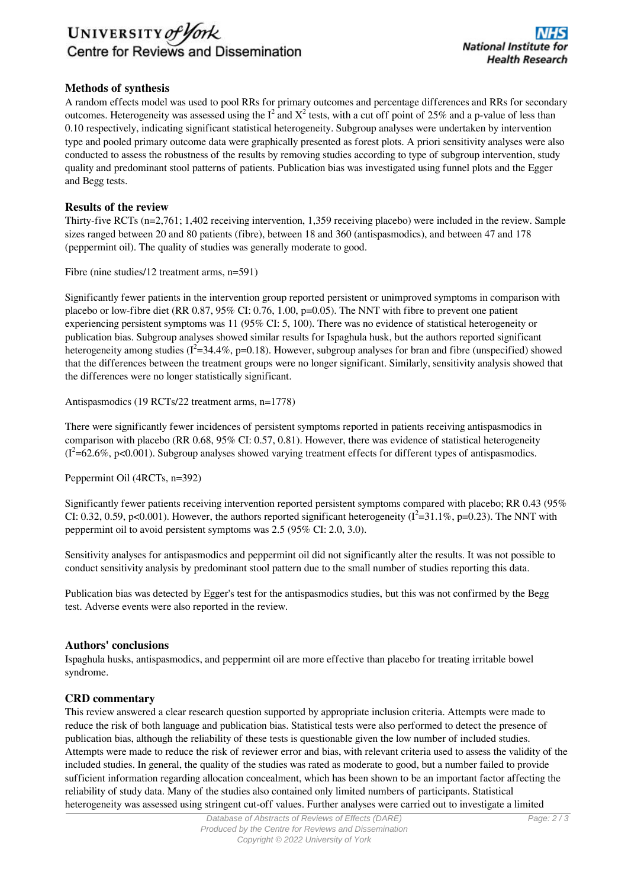# UNIVERSITY of York Centre for Reviews and Dissemination

## **Methods of synthesis**

A random effects model was used to pool RRs for primary outcomes and percentage differences and RRs for secondary outcomes. Heterogeneity was assessed using the  $I^2$  and  $X^2$  tests, with a cut off point of 25% and a p-value of less than 0.10 respectively, indicating significant statistical heterogeneity. Subgroup analyses were undertaken by intervention type and pooled primary outcome data were graphically presented as forest plots. A priori sensitivity analyses were also conducted to assess the robustness of the results by removing studies according to type of subgroup intervention, study quality and predominant stool patterns of patients. Publication bias was investigated using funnel plots and the Egger and Begg tests.

## **Results of the review**

Thirty-five RCTs (n=2,761; 1,402 receiving intervention, 1,359 receiving placebo) were included in the review. Sample sizes ranged between 20 and 80 patients (fibre), between 18 and 360 (antispasmodics), and between 47 and 178 (peppermint oil). The quality of studies was generally moderate to good.

Fibre (nine studies/12 treatment arms, n=591)

Significantly fewer patients in the intervention group reported persistent or unimproved symptoms in comparison with placebo or low-fibre diet (RR 0.87, 95% CI: 0.76, 1.00, p=0.05). The NNT with fibre to prevent one patient experiencing persistent symptoms was 11 (95% CI: 5, 100). There was no evidence of statistical heterogeneity or publication bias. Subgroup analyses showed similar results for Ispaghula husk, but the authors reported significant heterogeneity among studies ( $I^2$ =34.4%, p=0.18). However, subgroup analyses for bran and fibre (unspecified) showed that the differences between the treatment groups were no longer significant. Similarly, sensitivity analysis showed that the differences were no longer statistically significant.

Antispasmodics (19 RCTs/22 treatment arms, n=1778)

There were significantly fewer incidences of persistent symptoms reported in patients receiving antispasmodics in comparison with placebo (RR 0.68, 95% CI: 0.57, 0.81). However, there was evidence of statistical heterogeneity  $(I^2=62.6\%, p<0.001)$ . Subgroup analyses showed varying treatment effects for different types of antispasmodics.

Peppermint Oil (4RCTs, n=392)

Significantly fewer patients receiving intervention reported persistent symptoms compared with placebo; RR 0.43 (95% CI: 0.32, 0.59, p<0.001). However, the authors reported significant heterogeneity ( $I^2$ =31.1%, p=0.23). The NNT with peppermint oil to avoid persistent symptoms was 2.5 (95% CI: 2.0, 3.0).

Sensitivity analyses for antispasmodics and peppermint oil did not significantly alter the results. It was not possible to conduct sensitivity analysis by predominant stool pattern due to the small number of studies reporting this data.

Publication bias was detected by Egger's test for the antispasmodics studies, but this was not confirmed by the Begg test. Adverse events were also reported in the review.

## **Authors' conclusions**

Ispaghula husks, antispasmodics, and peppermint oil are more effective than placebo for treating irritable bowel syndrome.

## **CRD commentary**

This review answered a clear research question supported by appropriate inclusion criteria. Attempts were made to reduce the risk of both language and publication bias. Statistical tests were also performed to detect the presence of publication bias, although the reliability of these tests is questionable given the low number of included studies. Attempts were made to reduce the risk of reviewer error and bias, with relevant criteria used to assess the validity of the included studies. In general, the quality of the studies was rated as moderate to good, but a number failed to provide sufficient information regarding allocation concealment, which has been shown to be an important factor affecting the reliability of study data. Many of the studies also contained only limited numbers of participants. Statistical heterogeneity was assessed using stringent cut-off values. Further analyses were carried out to investigate a limited